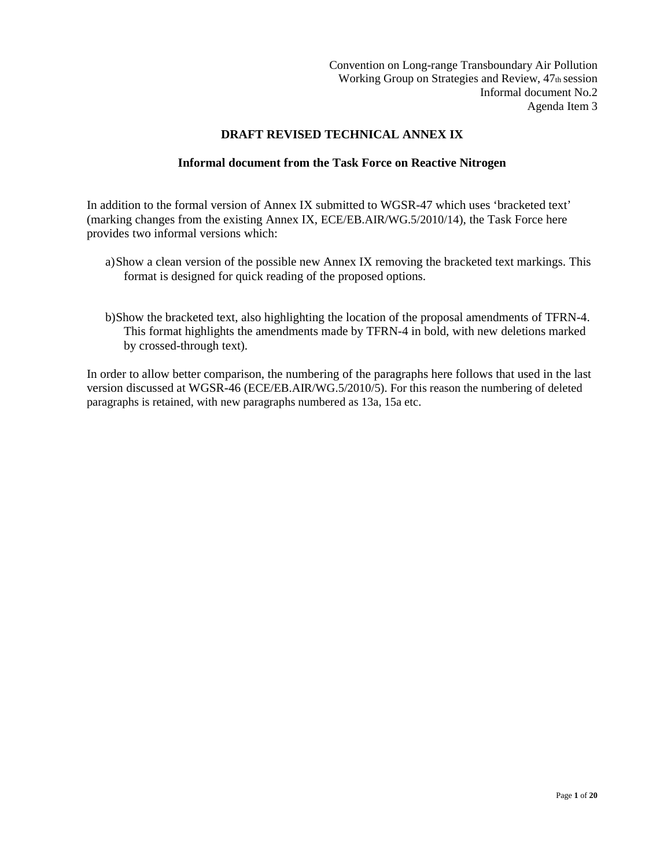Convention on Long-range Transboundary Air Pollution Working Group on Strategies and Review, 47th session Informal document No.2 Agenda Item 3

#### **DRAFT REVISED TECHNICAL ANNEX IX**

#### **Informal document from the Task Force on Reactive Nitrogen**

In addition to the formal version of Annex IX submitted to WGSR-47 which uses 'bracketed text' (marking changes from the existing Annex IX, ECE/EB.AIR/WG.5/2010/14), the Task Force here provides two informal versions which:

- a)Show a clean version of the possible new Annex IX removing the bracketed text markings. This format is designed for quick reading of the proposed options.
- b)Show the bracketed text, also highlighting the location of the proposal amendments of TFRN-4. This format highlights the amendments made by TFRN-4 in bold, with new deletions marked by crossed-through text).

In order to allow better comparison, the numbering of the paragraphs here follows that used in the last version discussed at WGSR-46 (ECE/EB.AIR/WG.5/2010/5). For this reason the numbering of deleted paragraphs is retained, with new paragraphs numbered as 13a, 15a etc.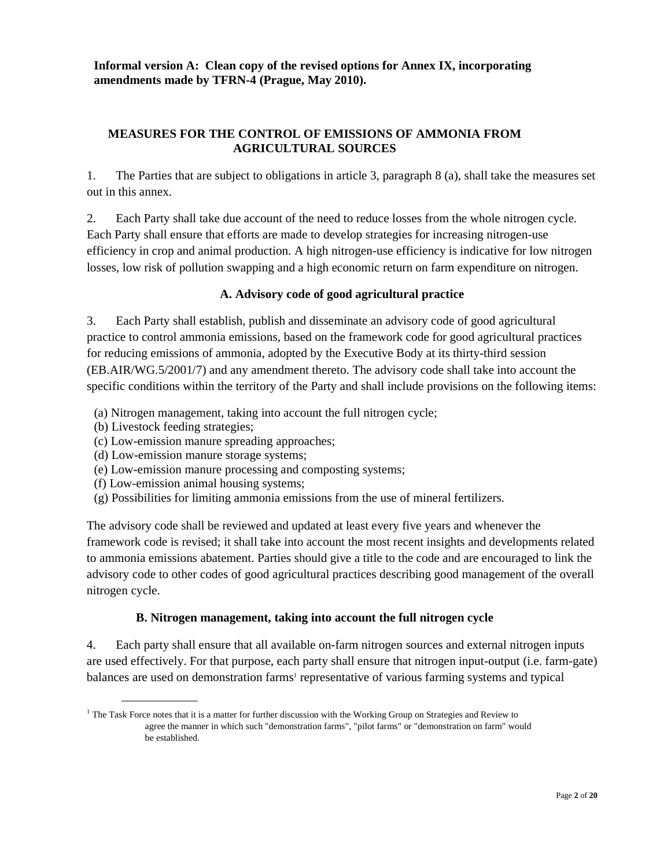**Informal version A: Clean copy of the revised options for Annex IX, incorporating amendments made by TFRN-4 (Prague, May 2010).** 

#### **MEASURES FOR THE CONTROL OF EMISSIONS OF AMMONIA FROM AGRICULTURAL SOURCES**

1. The Parties that are subject to obligations in article 3, paragraph 8 (a), shall take the measures set out in this annex.

2. Each Party shall take due account of the need to reduce losses from the whole nitrogen cycle. Each Party shall ensure that efforts are made to develop strategies for increasing nitrogen-use efficiency in crop and animal production. A high nitrogen-use efficiency is indicative for low nitrogen losses, low risk of pollution swapping and a high economic return on farm expenditure on nitrogen.

#### **A. Advisory code of good agricultural practice**

3. Each Party shall establish, publish and disseminate an advisory code of good agricultural practice to control ammonia emissions, based on the framework code for good agricultural practices for reducing emissions of ammonia, adopted by the Executive Body at its thirty-third session (EB.AIR/WG.5/2001/7) and any amendment thereto. The advisory code shall take into account the specific conditions within the territory of the Party and shall include provisions on the following items:

- (a) Nitrogen management, taking into account the full nitrogen cycle;
- (b) Livestock feeding strategies;
- (c) Low-emission manure spreading approaches;
- (d) Low-emission manure storage systems;
- (e) Low-emission manure processing and composting systems;
- (f) Low-emission animal housing systems;
- (g) Possibilities for limiting ammonia emissions from the use of mineral fertilizers.

The advisory code shall be reviewed and updated at least every five years and whenever the framework code is revised; it shall take into account the most recent insights and developments related to ammonia emissions abatement. Parties should give a title to the code and are encouraged to link the advisory code to other codes of good agricultural practices describing good management of the overall nitrogen cycle.

#### **B. Nitrogen management, taking into account the full nitrogen cycle**

4. Each party shall ensure that all available on-farm nitrogen sources and external nitrogen inputs are used effectively. For that purpose, each party shall ensure that nitrogen input-output (i.e. farm-gate) balances are used on demonstration farms<sup>1</sup> representative of various farming systems and typical

<sup>&</sup>lt;sup>1</sup> The Task Force notes that it is a matter for further discussion with the Working Group on Strategies and Review to agree the manner in which such "demonstration farms", "pilot farms" or "demonstration on farm" would be established.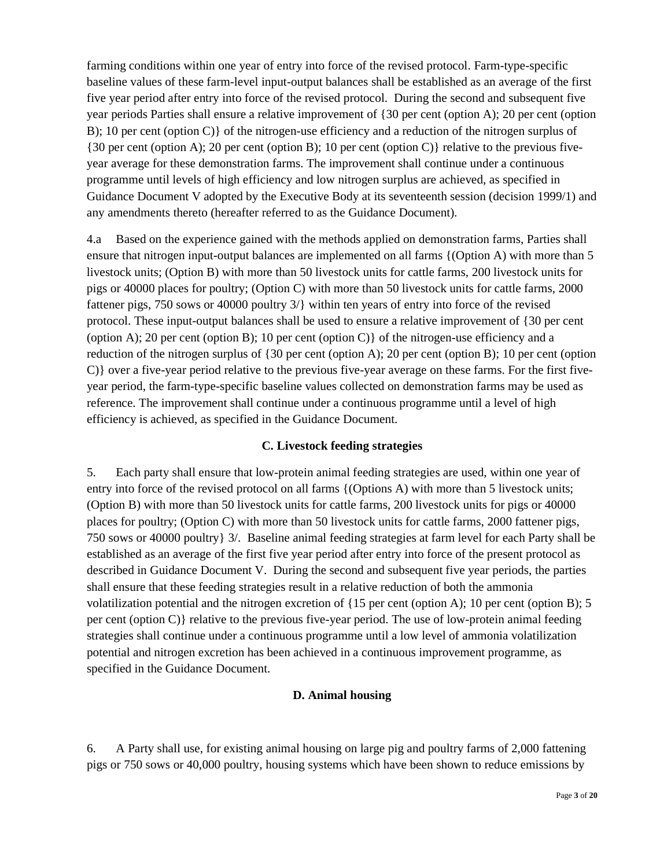farming conditions within one year of entry into force of the revised protocol. Farm-type-specific baseline values of these farm-level input-output balances shall be established as an average of the first five year period after entry into force of the revised protocol. During the second and subsequent five year periods Parties shall ensure a relative improvement of {30 per cent (option A); 20 per cent (option B); 10 per cent (option C)} of the nitrogen-use efficiency and a reduction of the nitrogen surplus of {30 per cent (option A); 20 per cent (option B); 10 per cent (option C)} relative to the previous fiveyear average for these demonstration farms. The improvement shall continue under a continuous programme until levels of high efficiency and low nitrogen surplus are achieved, as specified in Guidance Document V adopted by the Executive Body at its seventeenth session (decision 1999/1) and any amendments thereto (hereafter referred to as the Guidance Document).

4.a Based on the experience gained with the methods applied on demonstration farms, Parties shall ensure that nitrogen input-output balances are implemented on all farms {(Option A) with more than 5 livestock units; (Option B) with more than 50 livestock units for cattle farms, 200 livestock units for pigs or 40000 places for poultry; (Option C) with more than 50 livestock units for cattle farms, 2000 fattener pigs, 750 sows or 40000 poultry 3/} within ten years of entry into force of the revised protocol. These input-output balances shall be used to ensure a relative improvement of {30 per cent (option A); 20 per cent (option B); 10 per cent (option C) of the nitrogen-use efficiency and a reduction of the nitrogen surplus of {30 per cent (option A); 20 per cent (option B); 10 per cent (option C)} over a five-year period relative to the previous five-year average on these farms. For the first fiveyear period, the farm-type-specific baseline values collected on demonstration farms may be used as reference. The improvement shall continue under a continuous programme until a level of high efficiency is achieved, as specified in the Guidance Document.

# **C. Livestock feeding strategies**

5. Each party shall ensure that low-protein animal feeding strategies are used, within one year of entry into force of the revised protocol on all farms {(Options A) with more than 5 livestock units; (Option B) with more than 50 livestock units for cattle farms, 200 livestock units for pigs or 40000 places for poultry; (Option C) with more than 50 livestock units for cattle farms, 2000 fattener pigs, 750 sows or 40000 poultry} 3/. Baseline animal feeding strategies at farm level for each Party shall be established as an average of the first five year period after entry into force of the present protocol as described in Guidance Document V. During the second and subsequent five year periods, the parties shall ensure that these feeding strategies result in a relative reduction of both the ammonia volatilization potential and the nitrogen excretion of {15 per cent (option A); 10 per cent (option B); 5 per cent (option C)} relative to the previous five-year period. The use of low-protein animal feeding strategies shall continue under a continuous programme until a low level of ammonia volatilization potential and nitrogen excretion has been achieved in a continuous improvement programme, as specified in the Guidance Document.

#### **D. Animal housing**

6. A Party shall use, for existing animal housing on large pig and poultry farms of 2,000 fattening pigs or 750 sows or 40,000 poultry, housing systems which have been shown to reduce emissions by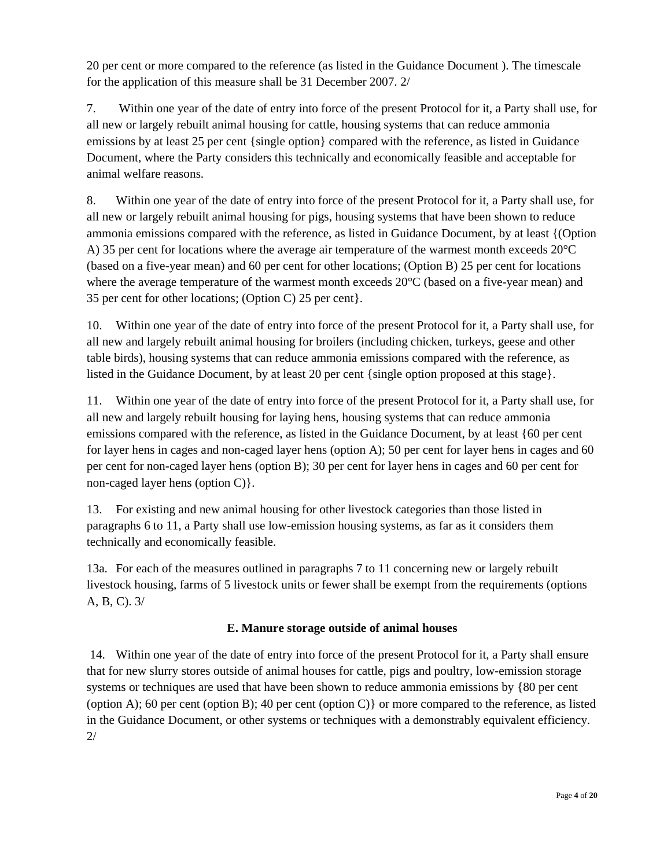20 per cent or more compared to the reference (as listed in the Guidance Document ). The timescale for the application of this measure shall be 31 December 2007. 2/

7. Within one year of the date of entry into force of the present Protocol for it, a Party shall use, for all new or largely rebuilt animal housing for cattle, housing systems that can reduce ammonia emissions by at least 25 per cent {single option} compared with the reference, as listed in Guidance Document, where the Party considers this technically and economically feasible and acceptable for animal welfare reasons.

8. Within one year of the date of entry into force of the present Protocol for it, a Party shall use, for all new or largely rebuilt animal housing for pigs, housing systems that have been shown to reduce ammonia emissions compared with the reference, as listed in Guidance Document, by at least {(Option A) 35 per cent for locations where the average air temperature of the warmest month exceeds  $20^{\circ}$ C (based on a five-year mean) and 60 per cent for other locations; (Option B) 25 per cent for locations where the average temperature of the warmest month exceeds 20°C (based on a five-year mean) and 35 per cent for other locations; (Option C) 25 per cent}.

10. Within one year of the date of entry into force of the present Protocol for it, a Party shall use, for all new and largely rebuilt animal housing for broilers (including chicken, turkeys, geese and other table birds), housing systems that can reduce ammonia emissions compared with the reference, as listed in the Guidance Document, by at least 20 per cent {single option proposed at this stage}.

11. Within one year of the date of entry into force of the present Protocol for it, a Party shall use, for all new and largely rebuilt housing for laying hens, housing systems that can reduce ammonia emissions compared with the reference, as listed in the Guidance Document, by at least {60 per cent for layer hens in cages and non-caged layer hens (option A); 50 per cent for layer hens in cages and 60 per cent for non-caged layer hens (option B); 30 per cent for layer hens in cages and 60 per cent for non-caged layer hens (option C)}.

13. For existing and new animal housing for other livestock categories than those listed in paragraphs 6 to 11, a Party shall use low-emission housing systems, as far as it considers them technically and economically feasible.

13a. For each of the measures outlined in paragraphs 7 to 11 concerning new or largely rebuilt livestock housing, farms of 5 livestock units or fewer shall be exempt from the requirements (options A, B, C). 3/

# **E. Manure storage outside of animal houses**

 14. Within one year of the date of entry into force of the present Protocol for it, a Party shall ensure that for new slurry stores outside of animal houses for cattle, pigs and poultry, low-emission storage systems or techniques are used that have been shown to reduce ammonia emissions by {80 per cent (option A); 60 per cent (option B); 40 per cent (option C)} or more compared to the reference, as listed in the Guidance Document, or other systems or techniques with a demonstrably equivalent efficiency. 2/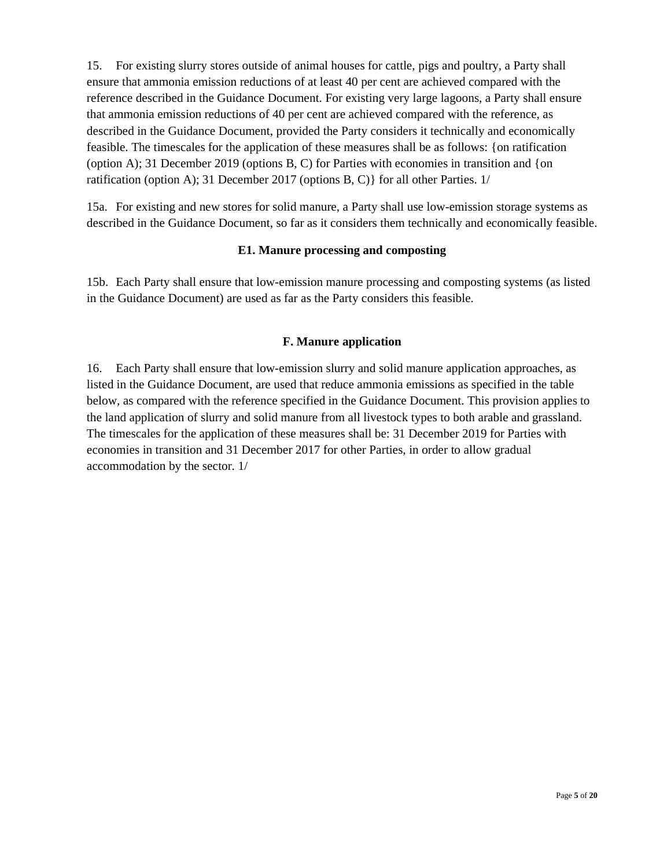15. For existing slurry stores outside of animal houses for cattle, pigs and poultry, a Party shall ensure that ammonia emission reductions of at least 40 per cent are achieved compared with the reference described in the Guidance Document. For existing very large lagoons, a Party shall ensure that ammonia emission reductions of 40 per cent are achieved compared with the reference, as described in the Guidance Document, provided the Party considers it technically and economically feasible. The timescales for the application of these measures shall be as follows: {on ratification (option A); 31 December 2019 (options  $B, C$ ) for Parties with economies in transition and {on ratification (option A); 31 December 2017 (options B, C)} for all other Parties. 1/

15a. For existing and new stores for solid manure, a Party shall use low-emission storage systems as described in the Guidance Document, so far as it considers them technically and economically feasible.

# **E1. Manure processing and composting**

15b. Each Party shall ensure that low-emission manure processing and composting systems (as listed in the Guidance Document) are used as far as the Party considers this feasible.

#### **F. Manure application**

16. Each Party shall ensure that low-emission slurry and solid manure application approaches, as listed in the Guidance Document, are used that reduce ammonia emissions as specified in the table below, as compared with the reference specified in the Guidance Document. This provision applies to the land application of slurry and solid manure from all livestock types to both arable and grassland. The timescales for the application of these measures shall be: 31 December 2019 for Parties with economies in transition and 31 December 2017 for other Parties, in order to allow gradual accommodation by the sector. 1/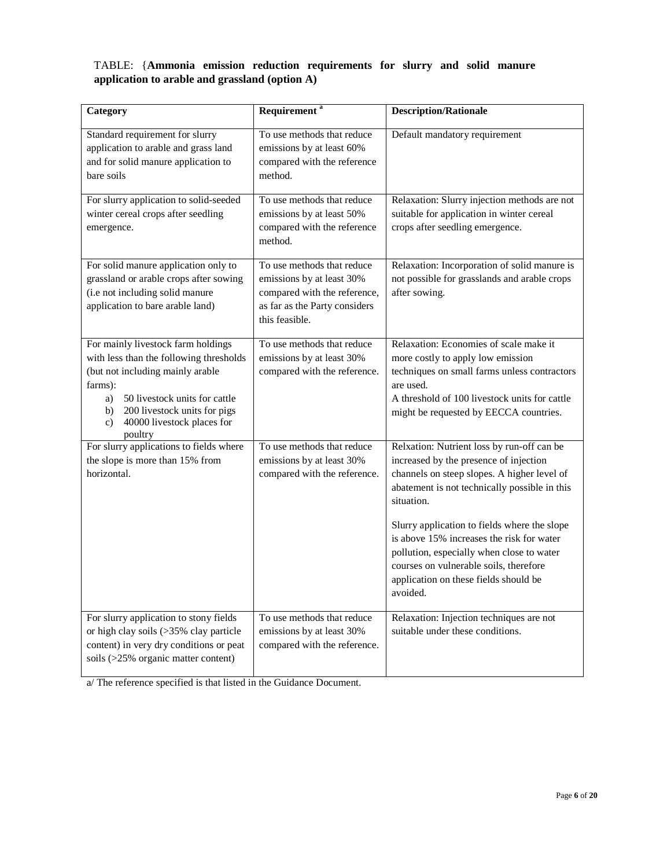## TABLE: {**Ammonia emission reduction requirements for slurry and solid manure application to arable and grassland (option A)**

| Category                                                                                                                                                                                                                                                            | Requirement <sup>a</sup>                                                                                                                   | <b>Description/Rationale</b>                                                                                                                                                                                                                                                                                                                                                                                                                |
|---------------------------------------------------------------------------------------------------------------------------------------------------------------------------------------------------------------------------------------------------------------------|--------------------------------------------------------------------------------------------------------------------------------------------|---------------------------------------------------------------------------------------------------------------------------------------------------------------------------------------------------------------------------------------------------------------------------------------------------------------------------------------------------------------------------------------------------------------------------------------------|
| Standard requirement for slurry<br>application to arable and grass land<br>and for solid manure application to<br>bare soils                                                                                                                                        | To use methods that reduce<br>emissions by at least 60%<br>compared with the reference<br>method.                                          | Default mandatory requirement                                                                                                                                                                                                                                                                                                                                                                                                               |
| For slurry application to solid-seeded<br>winter cereal crops after seedling<br>emergence.                                                                                                                                                                          | To use methods that reduce<br>emissions by at least 50%<br>compared with the reference<br>method.                                          | Relaxation: Slurry injection methods are not<br>suitable for application in winter cereal<br>crops after seedling emergence.                                                                                                                                                                                                                                                                                                                |
| For solid manure application only to<br>grassland or arable crops after sowing<br>(i.e not including solid manure<br>application to bare arable land)                                                                                                               | To use methods that reduce<br>emissions by at least 30%<br>compared with the reference,<br>as far as the Party considers<br>this feasible. | Relaxation: Incorporation of solid manure is<br>not possible for grasslands and arable crops<br>after sowing.                                                                                                                                                                                                                                                                                                                               |
| For mainly livestock farm holdings<br>with less than the following thresholds<br>(but not including mainly arable<br>farms):<br>50 livestock units for cattle<br>a)<br>200 livestock units for pigs<br>b)<br>40000 livestock places for<br>$\mathbf{c})$<br>poultry | To use methods that reduce<br>emissions by at least 30%<br>compared with the reference.                                                    | Relaxation: Economies of scale make it<br>more costly to apply low emission<br>techniques on small farms unless contractors<br>are used.<br>A threshold of 100 livestock units for cattle<br>might be requested by EECCA countries.                                                                                                                                                                                                         |
| For slurry applications to fields where<br>the slope is more than 15% from<br>horizontal.                                                                                                                                                                           | To use methods that reduce<br>emissions by at least 30%<br>compared with the reference.                                                    | Relxation: Nutrient loss by run-off can be<br>increased by the presence of injection<br>channels on steep slopes. A higher level of<br>abatement is not technically possible in this<br>situation.<br>Slurry application to fields where the slope<br>is above 15% increases the risk for water<br>pollution, especially when close to water<br>courses on vulnerable soils, therefore<br>application on these fields should be<br>avoided. |
| For slurry application to stony fields<br>or high clay soils (>35% clay particle<br>content) in very dry conditions or peat<br>soils (>25% organic matter content)                                                                                                  | To use methods that reduce<br>emissions by at least 30%<br>compared with the reference.                                                    | Relaxation: Injection techniques are not<br>suitable under these conditions.                                                                                                                                                                                                                                                                                                                                                                |

a/ The reference specified is that listed in the Guidance Document.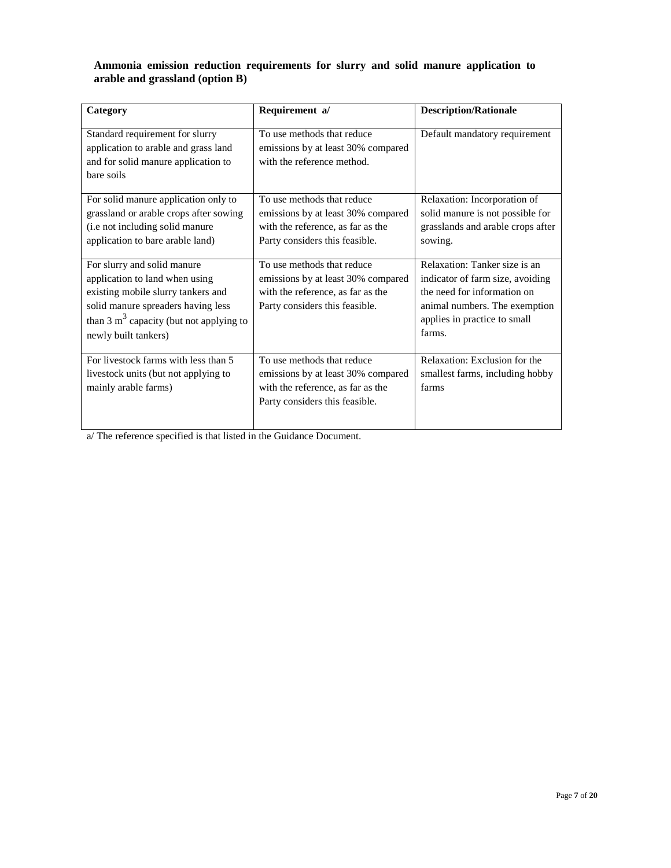## **Ammonia emission reduction requirements for slurry and solid manure application to arable and grassland (option B)**

| Category                                                                                                                                                                                                       | Requirement a/                                                                                                                          | <b>Description/Rationale</b>                                                                                                                                                |
|----------------------------------------------------------------------------------------------------------------------------------------------------------------------------------------------------------------|-----------------------------------------------------------------------------------------------------------------------------------------|-----------------------------------------------------------------------------------------------------------------------------------------------------------------------------|
| Standard requirement for slurry<br>application to arable and grass land<br>and for solid manure application to<br>bare soils                                                                                   | To use methods that reduce<br>emissions by at least 30% compared<br>with the reference method.                                          | Default mandatory requirement                                                                                                                                               |
| For solid manure application only to<br>grassland or arable crops after sowing<br>(i.e not including solid manure<br>application to bare arable land)                                                          | To use methods that reduce<br>emissions by at least 30% compared<br>with the reference, as far as the<br>Party considers this feasible. | Relaxation: Incorporation of<br>solid manure is not possible for<br>grasslands and arable crops after<br>sowing.                                                            |
| For slurry and solid manure<br>application to land when using<br>existing mobile slurry tankers and<br>solid manure spreaders having less<br>than 3 $m3$ capacity (but not applying to<br>newly built tankers) | To use methods that reduce<br>emissions by at least 30% compared<br>with the reference, as far as the<br>Party considers this feasible. | Relaxation: Tanker size is an<br>indicator of farm size, avoiding<br>the need for information on<br>animal numbers. The exemption<br>applies in practice to small<br>farms. |
| For livestock farms with less than 5<br>livestock units (but not applying to<br>mainly arable farms)                                                                                                           | To use methods that reduce<br>emissions by at least 30% compared<br>with the reference, as far as the<br>Party considers this feasible. | Relaxation: Exclusion for the<br>smallest farms, including hobby<br>farms                                                                                                   |

a/ The reference specified is that listed in the Guidance Document.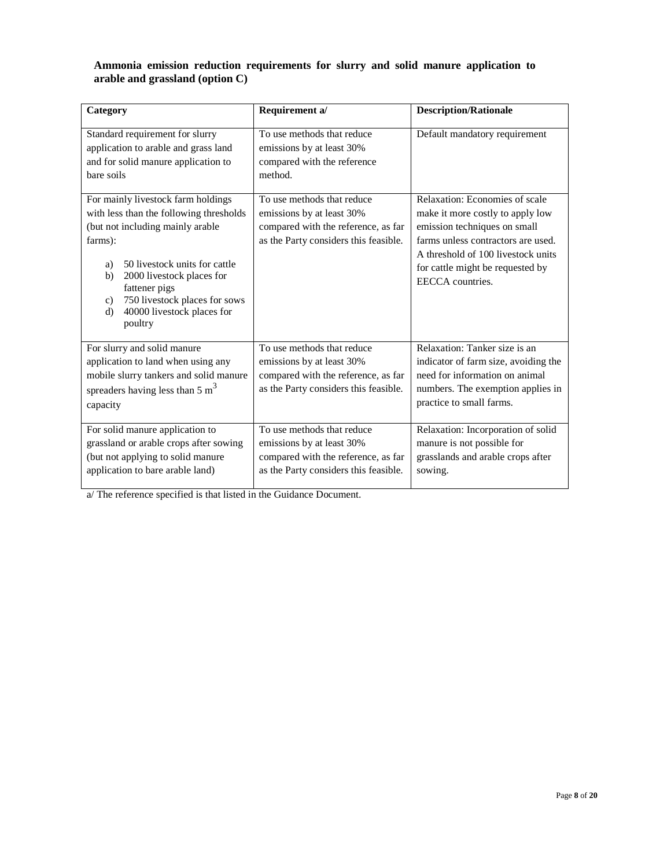## **Ammonia emission reduction requirements for slurry and solid manure application to arable and grassland (option C)**

| Category                                                                                                                                                                                                                                                                                                                  | Requirement a/                                                                                                                          | <b>Description/Rationale</b>                                                                                                                                                                                                           |
|---------------------------------------------------------------------------------------------------------------------------------------------------------------------------------------------------------------------------------------------------------------------------------------------------------------------------|-----------------------------------------------------------------------------------------------------------------------------------------|----------------------------------------------------------------------------------------------------------------------------------------------------------------------------------------------------------------------------------------|
| Standard requirement for slurry<br>application to arable and grass land<br>and for solid manure application to<br>bare soils                                                                                                                                                                                              | To use methods that reduce<br>emissions by at least 30%<br>compared with the reference<br>method.                                       | Default mandatory requirement                                                                                                                                                                                                          |
| For mainly livestock farm holdings<br>with less than the following thresholds<br>(but not including mainly arable<br>farms):<br>50 livestock units for cattle<br>a)<br>2000 livestock places for<br>b)<br>fattener pigs<br>750 livestock places for sows<br>$\mathbf{c}$ )<br>40000 livestock places for<br>d)<br>poultry | To use methods that reduce<br>emissions by at least 30%<br>compared with the reference, as far<br>as the Party considers this feasible. | Relaxation: Economies of scale<br>make it more costly to apply low<br>emission techniques on small<br>farms unless contractors are used.<br>A threshold of 100 livestock units<br>for cattle might be requested by<br>EECCA countries. |
| For slurry and solid manure<br>application to land when using any<br>mobile slurry tankers and solid manure<br>spreaders having less than 5 $m3$<br>capacity                                                                                                                                                              | To use methods that reduce<br>emissions by at least 30%<br>compared with the reference, as far<br>as the Party considers this feasible. | Relaxation: Tanker size is an<br>indicator of farm size, avoiding the<br>need for information on animal<br>numbers. The exemption applies in<br>practice to small farms.                                                               |
| For solid manure application to<br>grassland or arable crops after sowing<br>(but not applying to solid manure<br>application to bare arable land)                                                                                                                                                                        | To use methods that reduce<br>emissions by at least 30%<br>compared with the reference, as far<br>as the Party considers this feasible. | Relaxation: Incorporation of solid<br>manure is not possible for<br>grasslands and arable crops after<br>sowing.                                                                                                                       |

a/ The reference specified is that listed in the Guidance Document.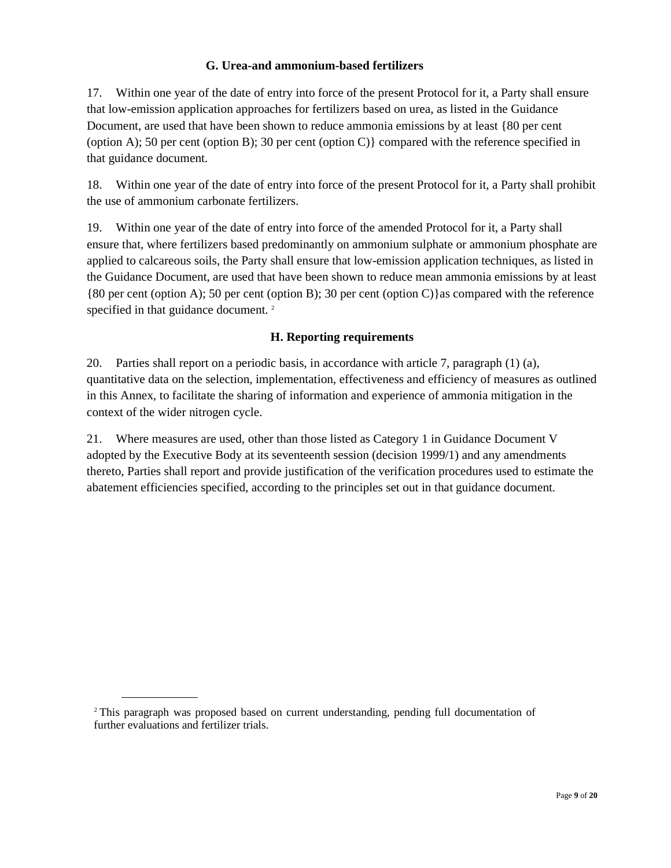# **G. Urea-and ammonium-based fertilizers**

17. Within one year of the date of entry into force of the present Protocol for it, a Party shall ensure that low-emission application approaches for fertilizers based on urea, as listed in the Guidance Document, are used that have been shown to reduce ammonia emissions by at least {80 per cent (option A); 50 per cent (option B); 30 per cent (option C)} compared with the reference specified in that guidance document.

18. Within one year of the date of entry into force of the present Protocol for it, a Party shall prohibit the use of ammonium carbonate fertilizers.

19. Within one year of the date of entry into force of the amended Protocol for it, a Party shall ensure that, where fertilizers based predominantly on ammonium sulphate or ammonium phosphate are applied to calcareous soils, the Party shall ensure that low-emission application techniques, as listed in the Guidance Document, are used that have been shown to reduce mean ammonia emissions by at least {80 per cent (option A); 50 per cent (option B); 30 per cent (option C)}as compared with the reference specified in that guidance document.<sup>2</sup>

# **H. Reporting requirements**

20. Parties shall report on a periodic basis, in accordance with article 7, paragraph (1) (a), quantitative data on the selection, implementation, effectiveness and efficiency of measures as outlined in this Annex, to facilitate the sharing of information and experience of ammonia mitigation in the context of the wider nitrogen cycle.

21. Where measures are used, other than those listed as Category 1 in Guidance Document V adopted by the Executive Body at its seventeenth session (decision 1999/1) and any amendments thereto, Parties shall report and provide justification of the verification procedures used to estimate the abatement efficiencies specified, according to the principles set out in that guidance document.

<sup>2</sup> This paragraph was proposed based on current understanding, pending full documentation of further evaluations and fertilizer trials.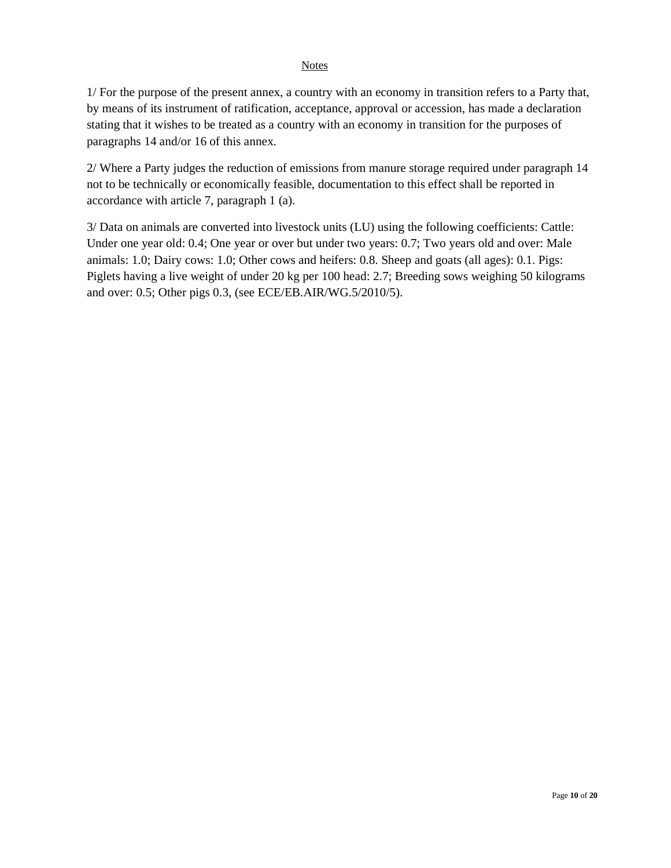#### **Notes**

1/ For the purpose of the present annex, a country with an economy in transition refers to a Party that, by means of its instrument of ratification, acceptance, approval or accession, has made a declaration stating that it wishes to be treated as a country with an economy in transition for the purposes of paragraphs 14 and/or 16 of this annex.

2/ Where a Party judges the reduction of emissions from manure storage required under paragraph 14 not to be technically or economically feasible, documentation to this effect shall be reported in accordance with article 7, paragraph 1 (a).

3/ Data on animals are converted into livestock units (LU) using the following coefficients: Cattle: Under one year old: 0.4; One year or over but under two years: 0.7; Two years old and over: Male animals: 1.0; Dairy cows: 1.0; Other cows and heifers: 0.8. Sheep and goats (all ages): 0.1. Pigs: Piglets having a live weight of under 20 kg per 100 head: 2.7; Breeding sows weighing 50 kilograms and over: 0.5; Other pigs 0.3, (see ECE/EB.AIR/WG.5/2010/5).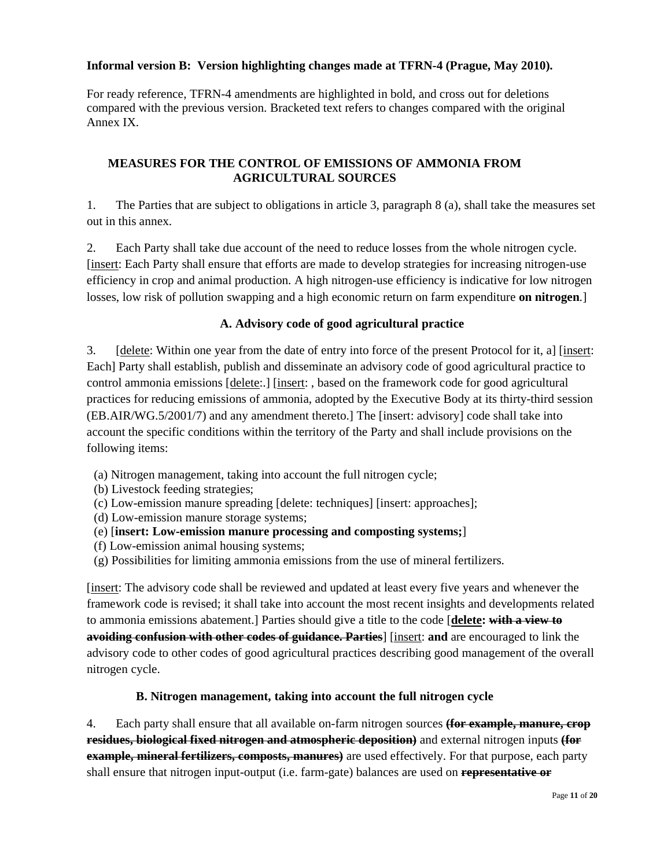# **Informal version B: Version highlighting changes made at TFRN-4 (Prague, May 2010).**

For ready reference, TFRN-4 amendments are highlighted in bold, and cross out for deletions compared with the previous version. Bracketed text refers to changes compared with the original Annex IX.

# **MEASURES FOR THE CONTROL OF EMISSIONS OF AMMONIA FROM AGRICULTURAL SOURCES**

1. The Parties that are subject to obligations in article 3, paragraph 8 (a), shall take the measures set out in this annex.

2. Each Party shall take due account of the need to reduce losses from the whole nitrogen cycle. [insert: Each Party shall ensure that efforts are made to develop strategies for increasing nitrogen-use efficiency in crop and animal production. A high nitrogen-use efficiency is indicative for low nitrogen losses, low risk of pollution swapping and a high economic return on farm expenditure **on nitrogen**.]

# **A. Advisory code of good agricultural practice**

3. [delete: Within one year from the date of entry into force of the present Protocol for it, a] [insert: Each] Party shall establish, publish and disseminate an advisory code of good agricultural practice to control ammonia emissions [delete:.] [insert:, based on the framework code for good agricultural practices for reducing emissions of ammonia, adopted by the Executive Body at its thirty-third session (EB.AIR/WG.5/2001/7) and any amendment thereto.] The [insert: advisory] code shall take into account the specific conditions within the territory of the Party and shall include provisions on the following items:

- (a) Nitrogen management, taking into account the full nitrogen cycle;
- (b) Livestock feeding strategies;
- (c) Low-emission manure spreading [delete: techniques] [insert: approaches];
- (d) Low-emission manure storage systems;
- (e) [**insert: Low-emission manure processing and composting systems;**]
- (f) Low-emission animal housing systems;
- (g) Possibilities for limiting ammonia emissions from the use of mineral fertilizers.

[insert: The advisory code shall be reviewed and updated at least every five years and whenever the framework code is revised; it shall take into account the most recent insights and developments related to ammonia emissions abatement.] Parties should give a title to the code [**delete: with a view to avoiding confusion with other codes of guidance. Parties**] [insert: **and** are encouraged to link the advisory code to other codes of good agricultural practices describing good management of the overall nitrogen cycle.

# **B. Nitrogen management, taking into account the full nitrogen cycle**

4. Each party shall ensure that all available on-farm nitrogen sources **(for example, manure, crop residues, biological fixed nitrogen and atmospheric deposition)** and external nitrogen inputs **(for example, mineral fertilizers, composts, manures)** are used effectively. For that purpose, each party shall ensure that nitrogen input-output (i.e. farm-gate) balances are used on **representative or**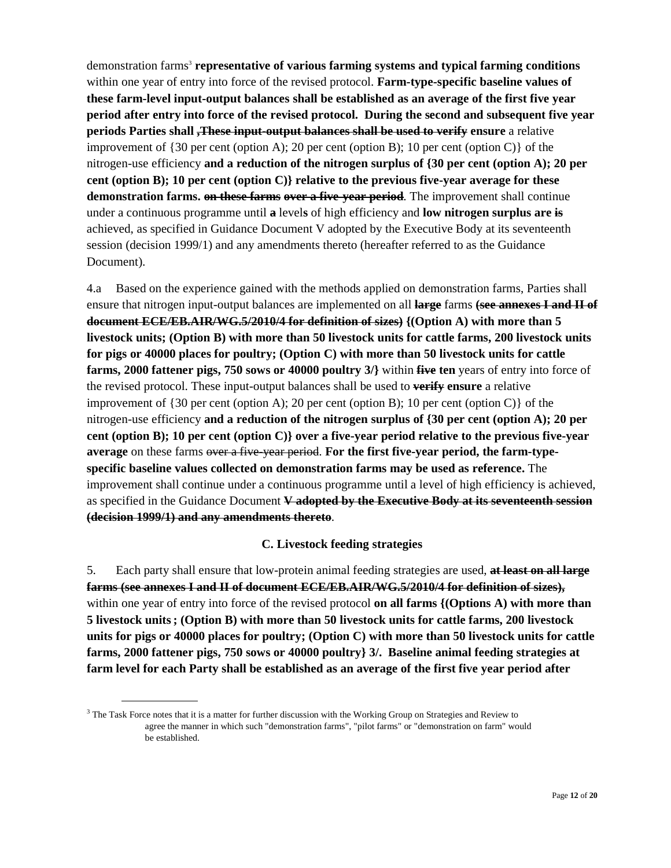demonstration farms<sup>3</sup> **representative of various farming systems and typical farming conditions** within one year of entry into force of the revised protocol. **Farm-type-specific baseline values of these farm-level input-output balances shall be established as an average of the first five year period after entry into force of the revised protocol. During the second and subsequent five year periods Parties shall ,These input-output balances shall be used to verify ensure** a relative improvement of  $\{30 \text{ per cent (option A)}; 20 \text{ per cent (option B)}; 10 \text{ per cent (option C)}\}$  of the nitrogen-use efficiency **and a reduction of the nitrogen surplus of {30 per cent (option A); 20 per cent (option B); 10 per cent (option C)} relative to the previous five-year average for these demonstration farms. on these farms over a five-year period**. The improvement shall continue under a continuous programme until **a** level**s** of high efficiency and **low nitrogen surplus are is** achieved, as specified in Guidance Document V adopted by the Executive Body at its seventeenth session (decision 1999/1) and any amendments thereto (hereafter referred to as the Guidance Document).

4.a Based on the experience gained with the methods applied on demonstration farms, Parties shall ensure that nitrogen input-output balances are implemented on all **large** farms **(see annexes I and II of document ECE/EB.AIR/WG.5/2010/4 for definition of sizes) {(Option A) with more than 5 livestock units; (Option B) with more than 50 livestock units for cattle farms, 200 livestock units for pigs or 40000 places for poultry; (Option C) with more than 50 livestock units for cattle farms, 2000 fattener pigs, 750 sows or 40000 poultry 3/}** within **five ten** years of entry into force of the revised protocol. These input-output balances shall be used to **verify ensure** a relative improvement of {30 per cent (option A); 20 per cent (option B); 10 per cent (option C)} of the nitrogen-use efficiency **and a reduction of the nitrogen surplus of {30 per cent (option A); 20 per cent (option B); 10 per cent (option C)} over a five-year period relative to the previous five-year**  average on these farms over a five year period. For the first five-year period, the farm-type**specific baseline values collected on demonstration farms may be used as reference.** The improvement shall continue under a continuous programme until a level of high efficiency is achieved, as specified in the Guidance Document **V adopted by the Executive Body at its seventeenth session (decision 1999/1) and any amendments thereto**.

#### **C. Livestock feeding strategies**

5. Each party shall ensure that low-protein animal feeding strategies are used, **at least on all large farms (see annexes I and II of document ECE/EB.AIR/WG.5/2010/4 for definition of sizes),** within one year of entry into force of the revised protocol **on all farms {(Options A) with more than 5 livestock units; (Option B) with more than 50 livestock units for cattle farms, 200 livestock units for pigs or 40000 places for poultry; (Option C) with more than 50 livestock units for cattle farms, 2000 fattener pigs, 750 sows or 40000 poultry} 3/. Baseline animal feeding strategies at farm level for each Party shall be established as an average of the first five year period after** 

 $3$  The Task Force notes that it is a matter for further discussion with the Working Group on Strategies and Review to agree the manner in which such "demonstration farms", "pilot farms" or "demonstration on farm" would be established.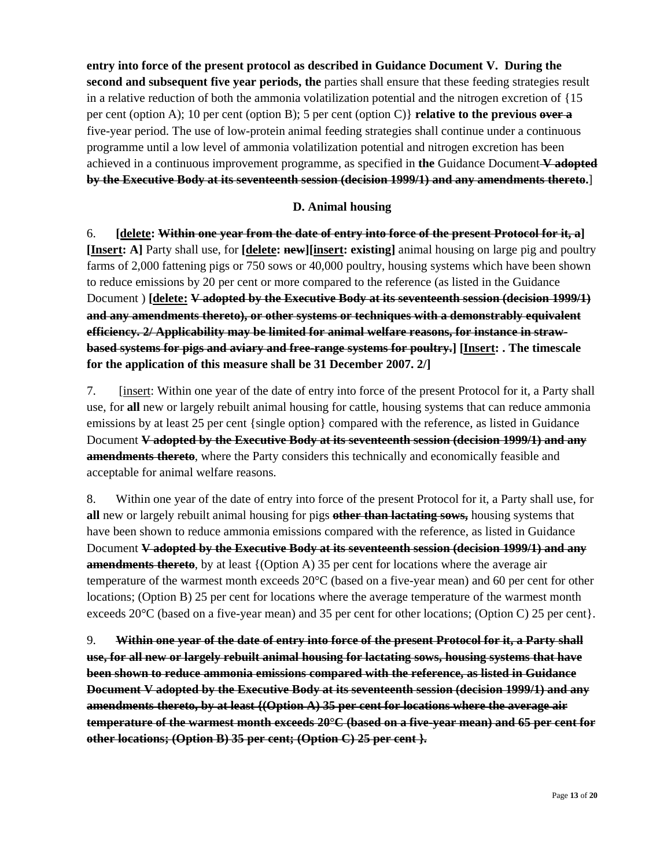**entry into force of the present protocol as described in Guidance Document V. During the second and subsequent five year periods, the** parties shall ensure that these feeding strategies result in a relative reduction of both the ammonia volatilization potential and the nitrogen excretion of {15 per cent (option A); 10 per cent (option B); 5 per cent (option C)} **relative to the previous over a** five-year period. The use of low-protein animal feeding strategies shall continue under a continuous programme until a low level of ammonia volatilization potential and nitrogen excretion has been achieved in a continuous improvement programme, as specified in **the** Guidance Document **V adopted by the Executive Body at its seventeenth session (decision 1999/1) and any amendments thereto.**]

#### **D. Animal housing**

6. **[delete: Within one year from the date of entry into force of the present Protocol for it, a] [Insert: A]** Party shall use, for **[delete: new][insert: existing]** animal housing on large pig and poultry farms of 2,000 fattening pigs or 750 sows or 40,000 poultry, housing systems which have been shown to reduce emissions by 20 per cent or more compared to the reference (as listed in the Guidance Document ) **[delete: V adopted by the Executive Body at its seventeenth session (decision 1999/1) and any amendments thereto), or other systems or techniques with a demonstrably equivalent efficiency. 2/ Applicability may be limited for animal welfare reasons, for instance in strawbased systems for pigs and aviary and free-range systems for poultry.] [Insert: . The timescale for the application of this measure shall be 31 December 2007. 2/]**

7. [insert: Within one year of the date of entry into force of the present Protocol for it, a Party shall use, for **all** new or largely rebuilt animal housing for cattle, housing systems that can reduce ammonia emissions by at least 25 per cent {single option} compared with the reference, as listed in Guidance Document **V adopted by the Executive Body at its seventeenth session (decision 1999/1) and any amendments thereto**, where the Party considers this technically and economically feasible and acceptable for animal welfare reasons.

8. Within one year of the date of entry into force of the present Protocol for it, a Party shall use, for **all** new or largely rebuilt animal housing for pigs **other than lactating sows,** housing systems that have been shown to reduce ammonia emissions compared with the reference, as listed in Guidance Document **V adopted by the Executive Body at its seventeenth session (decision 1999/1) and any amendments thereto**, by at least {(Option A) 35 per cent for locations where the average air temperature of the warmest month exceeds 20°C (based on a five-year mean) and 60 per cent for other locations; (Option B) 25 per cent for locations where the average temperature of the warmest month exceeds 20°C (based on a five-year mean) and 35 per cent for other locations; (Option C) 25 per cent}.

9. **Within one year of the date of entry into force of the present Protocol for it, a Party shall use, for all new or largely rebuilt animal housing for lactating sows, housing systems that have been shown to reduce ammonia emissions compared with the reference, as listed in Guidance Document V adopted by the Executive Body at its seventeenth session (decision 1999/1) and any amendments thereto, by at least {(Option A) 35 per cent for locations where the average air temperature of the warmest month exceeds 20°C (based on a five-year mean) and 65 per cent for other locations; (Option B) 35 per cent; (Option C) 25 per cent }.**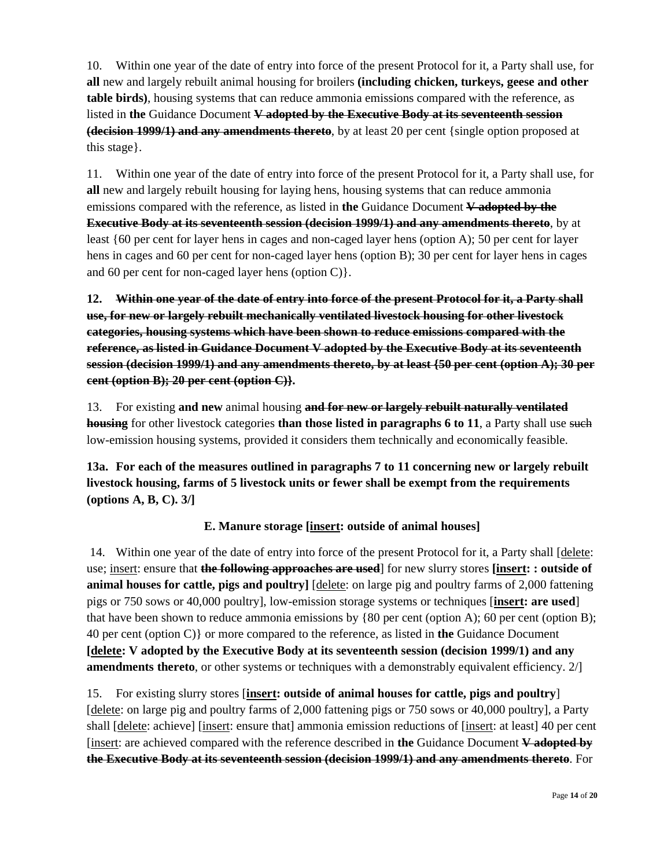10. Within one year of the date of entry into force of the present Protocol for it, a Party shall use, for **all** new and largely rebuilt animal housing for broilers **(including chicken, turkeys, geese and other table birds)**, housing systems that can reduce ammonia emissions compared with the reference, as listed in **the** Guidance Document **V adopted by the Executive Body at its seventeenth session (decision 1999/1) and any amendments thereto**, by at least 20 per cent {single option proposed at this stage}.

11. Within one year of the date of entry into force of the present Protocol for it, a Party shall use, for **all** new and largely rebuilt housing for laying hens, housing systems that can reduce ammonia emissions compared with the reference, as listed in **the** Guidance Document **V adopted by the Executive Body at its seventeenth session (decision 1999/1) and any amendments thereto**, by at least {60 per cent for layer hens in cages and non-caged layer hens (option A); 50 per cent for layer hens in cages and 60 per cent for non-caged layer hens (option B); 30 per cent for layer hens in cages and 60 per cent for non-caged layer hens (option C)}.

**12. Within one year of the date of entry into force of the present Protocol for it, a Party shall use, for new or largely rebuilt mechanically ventilated livestock housing for other livestock categories, housing systems which have been shown to reduce emissions compared with the reference, as listed in Guidance Document V adopted by the Executive Body at its seventeenth session (decision 1999/1) and any amendments thereto, by at least {50 per cent (option A); 30 per cent (option B); 20 per cent (option C)}.** 

13. For existing **and new** animal housing **and for new or largely rebuilt naturally ventilated housing** for other livestock categories **than those listed in paragraphs 6 to 11**, a Party shall use such low-emission housing systems, provided it considers them technically and economically feasible.

**13a. For each of the measures outlined in paragraphs 7 to 11 concerning new or largely rebuilt livestock housing, farms of 5 livestock units or fewer shall be exempt from the requirements (options A, B, C). 3/]** 

# **E. Manure storage [insert: outside of animal houses]**

 14. Within one year of the date of entry into force of the present Protocol for it, a Party shall [delete: use; insert: ensure that **the following approaches are used**] for new slurry stores **[insert: : outside of animal houses for cattle, pigs and poultry**] [delete: on large pig and poultry farms of 2,000 fattening pigs or 750 sows or 40,000 poultry], low-emission storage systems or techniques [**insert: are used**] that have been shown to reduce ammonia emissions by {80 per cent (option A); 60 per cent (option B); 40 per cent (option C)} or more compared to the reference, as listed in **the** Guidance Document **[delete: V adopted by the Executive Body at its seventeenth session (decision 1999/1) and any amendments thereto**, or other systems or techniques with a demonstrably equivalent efficiency. 2/

15. For existing slurry stores [**insert: outside of animal houses for cattle, pigs and poultry**] [delete: on large pig and poultry farms of 2,000 fattening pigs or 750 sows or 40,000 poultry], a Party shall [delete: achieve] [insert: ensure that] ammonia emission reductions of [insert: at least] 40 per cent [insert: are achieved compared with the reference described in **the** Guidance Document **V adopted by the Executive Body at its seventeenth session (decision 1999/1) and any amendments thereto**. For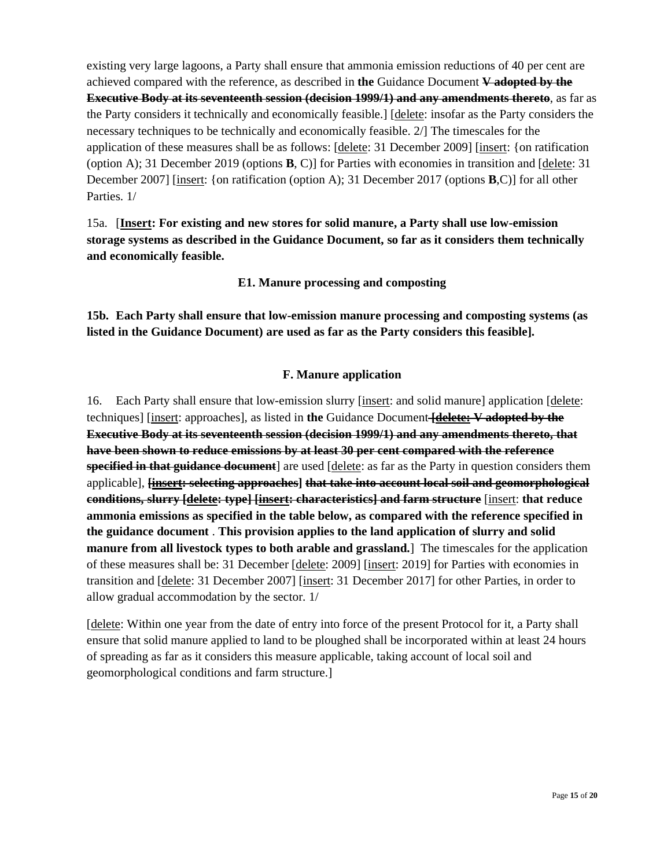existing very large lagoons, a Party shall ensure that ammonia emission reductions of 40 per cent are achieved compared with the reference, as described in **the** Guidance Document **V adopted by the Executive Body at its seventeenth session (decision 1999/1) and any amendments thereto**, as far as the Party considers it technically and economically feasible.] [delete: insofar as the Party considers the necessary techniques to be technically and economically feasible. 2/] The timescales for the application of these measures shall be as follows: [delete: 31 December 2009] [insert: {on ratification (option A); 31 December 2019 (options **B**, C)] for Parties with economies in transition and [delete: 31 December 2007] [insert: {on ratification (option A); 31 December 2017 (options **B**,C)] for all other Parties. 1/

15a. [**Insert: For existing and new stores for solid manure, a Party shall use low-emission storage systems as described in the Guidance Document, so far as it considers them technically and economically feasible.**

**E1. Manure processing and composting** 

**15b. Each Party shall ensure that low-emission manure processing and composting systems (as listed in the Guidance Document) are used as far as the Party considers this feasible].** 

# **F. Manure application**

16. Each Party shall ensure that low-emission slurry [insert: and solid manure] application [delete: techniques] [insert: approaches], as listed in **the** Guidance Document **[delete: V adopted by the Executive Body at its seventeenth session (decision 1999/1) and any amendments thereto, that have been shown to reduce emissions by at least 30 per cent compared with the reference specified in that guidance document** are used [delete: as far as the Party in question considers them applicable], **[insert: selecting approaches] that take into account local soil and geomorphological conditions, slurry [delete: type] [insert: characteristics] and farm structure** [insert: **that reduce ammonia emissions as specified in the table below, as compared with the reference specified in the guidance document** . **This provision applies to the land application of slurry and solid manure from all livestock types to both arable and grassland.**] The timescales for the application of these measures shall be: 31 December [delete: 2009] [insert: 2019] for Parties with economies in transition and [delete: 31 December 2007] [insert: 31 December 2017] for other Parties, in order to allow gradual accommodation by the sector. 1/

[delete: Within one year from the date of entry into force of the present Protocol for it, a Party shall ensure that solid manure applied to land to be ploughed shall be incorporated within at least 24 hours of spreading as far as it considers this measure applicable, taking account of local soil and geomorphological conditions and farm structure.]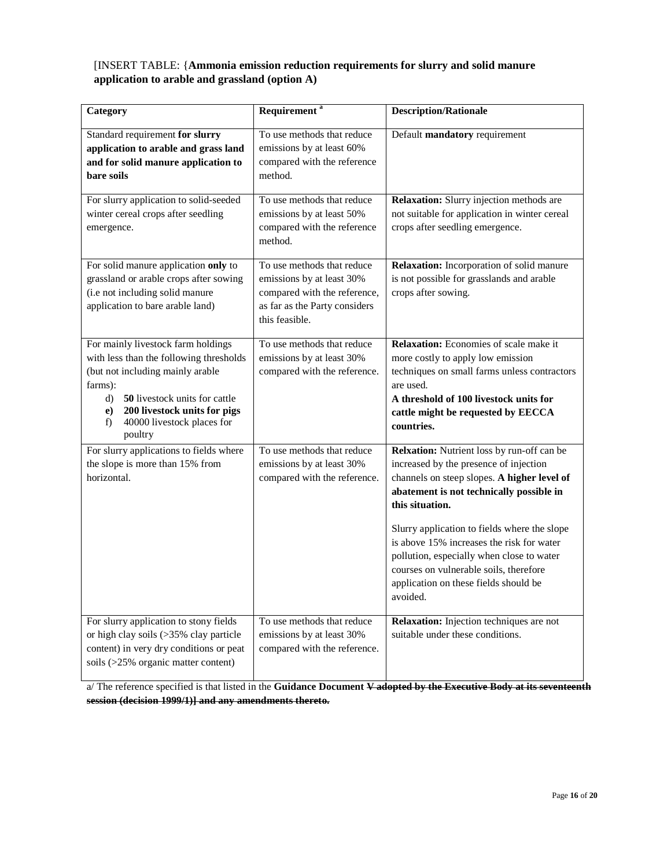#### [INSERT TABLE: {**Ammonia emission reduction requirements for slurry and solid manure application to arable and grassland (option A)**

| Category                                                                                                                                                                                                                                                 | Requirement <sup>a</sup>                                                                                                                   | <b>Description/Rationale</b>                                                                                                                                                                                                                                                                                                                                                                                                                |
|----------------------------------------------------------------------------------------------------------------------------------------------------------------------------------------------------------------------------------------------------------|--------------------------------------------------------------------------------------------------------------------------------------------|---------------------------------------------------------------------------------------------------------------------------------------------------------------------------------------------------------------------------------------------------------------------------------------------------------------------------------------------------------------------------------------------------------------------------------------------|
| Standard requirement for slurry<br>application to arable and grass land<br>and for solid manure application to<br>bare soils                                                                                                                             | To use methods that reduce<br>emissions by at least 60%<br>compared with the reference<br>method.                                          | Default mandatory requirement                                                                                                                                                                                                                                                                                                                                                                                                               |
| For slurry application to solid-seeded<br>winter cereal crops after seedling<br>emergence.                                                                                                                                                               | To use methods that reduce<br>emissions by at least 50%<br>compared with the reference<br>method.                                          | Relaxation: Slurry injection methods are<br>not suitable for application in winter cereal<br>crops after seedling emergence.                                                                                                                                                                                                                                                                                                                |
| For solid manure application only to<br>grassland or arable crops after sowing<br>(i.e not including solid manure<br>application to bare arable land)                                                                                                    | To use methods that reduce<br>emissions by at least 30%<br>compared with the reference,<br>as far as the Party considers<br>this feasible. | Relaxation: Incorporation of solid manure<br>is not possible for grasslands and arable<br>crops after sowing.                                                                                                                                                                                                                                                                                                                               |
| For mainly livestock farm holdings<br>with less than the following thresholds<br>(but not including mainly arable<br>farms):<br>50 livestock units for cattle<br>d)<br>200 livestock units for pigs<br>e)<br>f)<br>40000 livestock places for<br>poultry | To use methods that reduce<br>emissions by at least 30%<br>compared with the reference.                                                    | Relaxation: Economies of scale make it<br>more costly to apply low emission<br>techniques on small farms unless contractors<br>are used.<br>A threshold of 100 livestock units for<br>cattle might be requested by EECCA<br>countries.                                                                                                                                                                                                      |
| For slurry applications to fields where<br>the slope is more than 15% from<br>horizontal.                                                                                                                                                                | To use methods that reduce<br>emissions by at least 30%<br>compared with the reference.                                                    | Relxation: Nutrient loss by run-off can be<br>increased by the presence of injection<br>channels on steep slopes. A higher level of<br>abatement is not technically possible in<br>this situation.<br>Slurry application to fields where the slope<br>is above 15% increases the risk for water<br>pollution, especially when close to water<br>courses on vulnerable soils, therefore<br>application on these fields should be<br>avoided. |
| For slurry application to stony fields<br>or high clay soils (>35% clay particle<br>content) in very dry conditions or peat<br>soils (>25% organic matter content)                                                                                       | To use methods that reduce<br>emissions by at least 30%<br>compared with the reference.                                                    | Relaxation: Injection techniques are not<br>suitable under these conditions.                                                                                                                                                                                                                                                                                                                                                                |

a/ The reference specified is that listed in the **Guidance Document V adopted by the Executive Body at its seventeenth session (decision 1999/1)] and any amendments thereto.**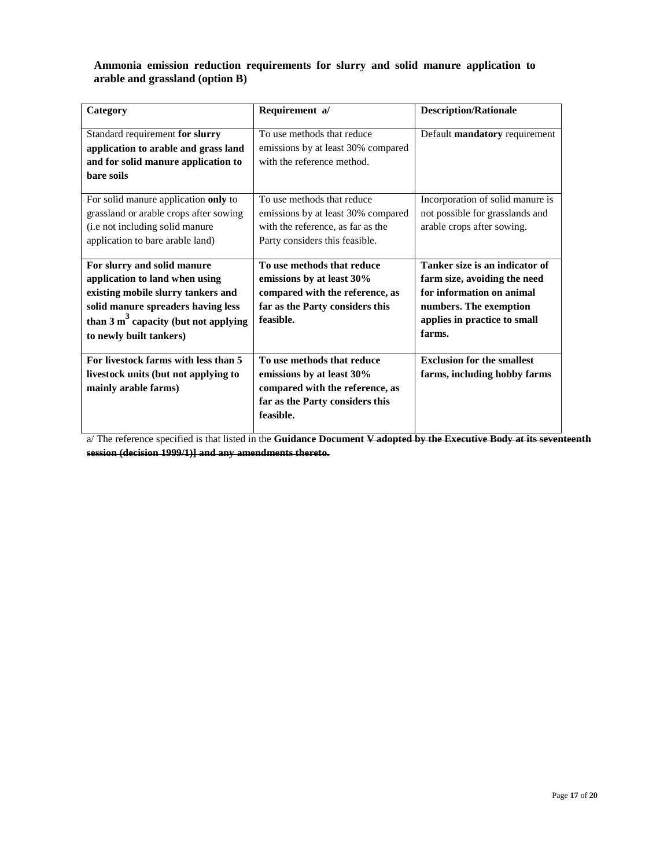#### **Ammonia emission reduction requirements for slurry and solid manure application to arable and grassland (option B)**

| Category                                                                                                                                                                                                                | Requirement a/                                                                                                                             | <b>Description/Rationale</b>                                                                                                                                    |
|-------------------------------------------------------------------------------------------------------------------------------------------------------------------------------------------------------------------------|--------------------------------------------------------------------------------------------------------------------------------------------|-----------------------------------------------------------------------------------------------------------------------------------------------------------------|
| Standard requirement for slurry<br>application to arable and grass land<br>and for solid manure application to<br>bare soils                                                                                            | To use methods that reduce<br>emissions by at least 30% compared<br>with the reference method.                                             | Default mandatory requirement                                                                                                                                   |
| For solid manure application only to<br>grassland or arable crops after sowing<br>(i.e not including solid manure<br>application to bare arable land)                                                                   | To use methods that reduce<br>emissions by at least 30% compared<br>with the reference, as far as the<br>Party considers this feasible.    | Incorporation of solid manure is<br>not possible for grasslands and<br>arable crops after sowing.                                                               |
| For slurry and solid manure<br>application to land when using<br>existing mobile slurry tankers and<br>solid manure spreaders having less<br>than $3 \text{ m}^3$ capacity (but not applying<br>to newly built tankers) | To use methods that reduce<br>emissions by at least 30%<br>compared with the reference, as<br>far as the Party considers this<br>feasible. | Tanker size is an indicator of<br>farm size, avoiding the need<br>for information on animal<br>numbers. The exemption<br>applies in practice to small<br>farms. |
| For livestock farms with less than 5<br>livestock units (but not applying to<br>mainly arable farms)                                                                                                                    | To use methods that reduce<br>emissions by at least 30%<br>compared with the reference, as<br>far as the Party considers this<br>feasible. | <b>Exclusion for the smallest</b><br>farms, including hobby farms                                                                                               |

a/ The reference specified is that listed in the **Guidance Document V adopted by the Executive Body at its seventeenth session (decision 1999/1)] and any amendments thereto.**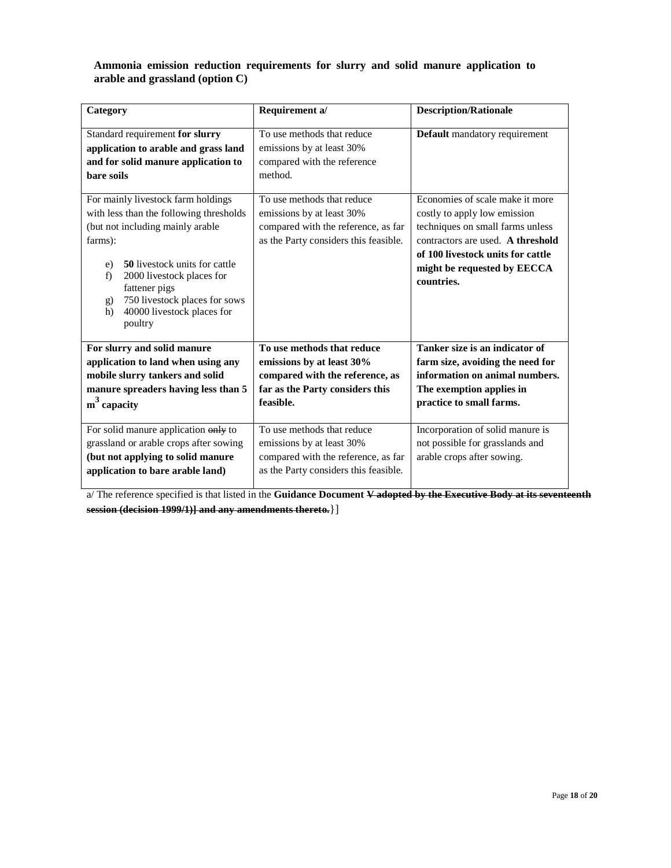#### **Ammonia emission reduction requirements for slurry and solid manure application to arable and grassland (option C)**

| Category                                                                                                                                                                                                                                                                                                      | Requirement a/                                                                                                                             | <b>Description/Rationale</b>                                                                                                                                                                                               |
|---------------------------------------------------------------------------------------------------------------------------------------------------------------------------------------------------------------------------------------------------------------------------------------------------------------|--------------------------------------------------------------------------------------------------------------------------------------------|----------------------------------------------------------------------------------------------------------------------------------------------------------------------------------------------------------------------------|
| Standard requirement for slurry<br>application to arable and grass land<br>and for solid manure application to<br>bare soils                                                                                                                                                                                  | To use methods that reduce<br>emissions by at least 30%<br>compared with the reference<br>method.                                          | Default mandatory requirement                                                                                                                                                                                              |
| For mainly livestock farm holdings<br>with less than the following thresholds<br>(but not including mainly arable<br>farms):<br>50 livestock units for cattle<br>e)<br>2000 livestock places for<br>f)<br>fattener pigs<br>750 livestock places for sows<br>g)<br>40000 livestock places for<br>h)<br>poultry | To use methods that reduce<br>emissions by at least 30%<br>compared with the reference, as far<br>as the Party considers this feasible.    | Economies of scale make it more<br>costly to apply low emission<br>techniques on small farms unless<br>contractors are used. A threshold<br>of 100 livestock units for cattle<br>might be requested by EECCA<br>countries. |
| For slurry and solid manure<br>application to land when using any<br>mobile slurry tankers and solid<br>manure spreaders having less than 5<br>$m3$ capacity                                                                                                                                                  | To use methods that reduce<br>emissions by at least 30%<br>compared with the reference, as<br>far as the Party considers this<br>feasible. | Tanker size is an indicator of<br>farm size, avoiding the need for<br>information on animal numbers.<br>The exemption applies in<br>practice to small farms.                                                               |
| For solid manure application only to<br>grassland or arable crops after sowing<br>(but not applying to solid manure<br>application to bare arable land)                                                                                                                                                       | To use methods that reduce<br>emissions by at least 30%<br>compared with the reference, as far<br>as the Party considers this feasible.    | Incorporation of solid manure is<br>not possible for grasslands and<br>arable crops after sowing.                                                                                                                          |

a/ The reference specified is that listed in the **Guidance Document V adopted by the Executive Body at its seventeenth session (decision 1999/1)] and any amendments thereto.**}]

 $\mathsf{l}$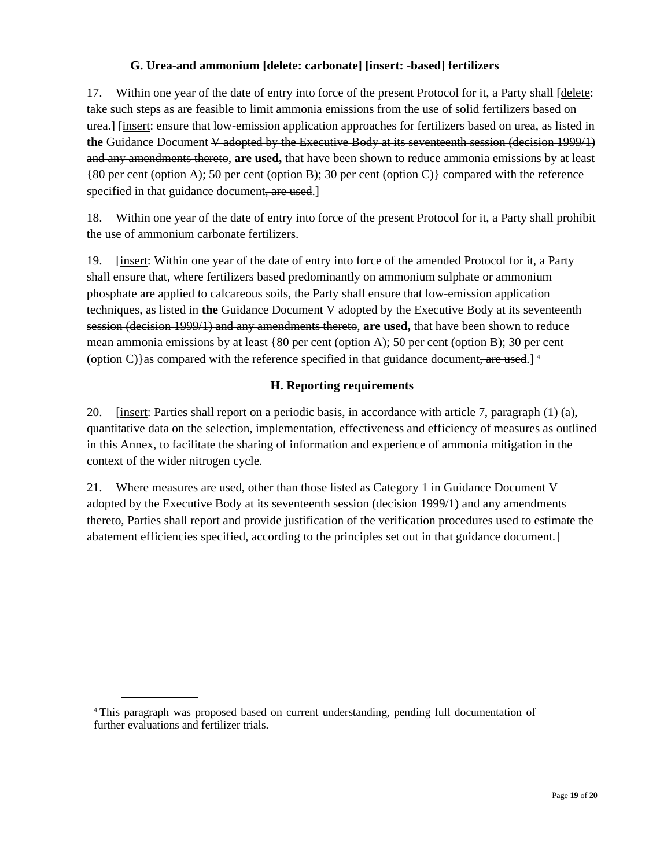# **G. Urea-and ammonium [delete: carbonate] [insert: -based] fertilizers**

17. Within one year of the date of entry into force of the present Protocol for it, a Party shall [delete: take such steps as are feasible to limit ammonia emissions from the use of solid fertilizers based on urea.] [insert: ensure that low-emission application approaches for fertilizers based on urea, as listed in **the** Guidance Document V adopted by the Executive Body at its seventeenth session (decision 1999/1) and any amendments thereto, **are used,** that have been shown to reduce ammonia emissions by at least {80 per cent (option A); 50 per cent (option B); 30 per cent (option C)} compared with the reference specified in that guidance document, are used.

18. Within one year of the date of entry into force of the present Protocol for it, a Party shall prohibit the use of ammonium carbonate fertilizers.

19. [insert: Within one year of the date of entry into force of the amended Protocol for it, a Party shall ensure that, where fertilizers based predominantly on ammonium sulphate or ammonium phosphate are applied to calcareous soils, the Party shall ensure that low-emission application techniques, as listed in **the** Guidance Document V adopted by the Executive Body at its seventeenth session (decision 1999/1) and any amendments thereto, **are used,** that have been shown to reduce mean ammonia emissions by at least {80 per cent (option A); 50 per cent (option B); 30 per cent (option C) as compared with the reference specified in that guidance document, are used.]<sup>4</sup>

# **H. Reporting requirements**

20. [insert: Parties shall report on a periodic basis, in accordance with article 7, paragraph (1) (a), quantitative data on the selection, implementation, effectiveness and efficiency of measures as outlined in this Annex, to facilitate the sharing of information and experience of ammonia mitigation in the context of the wider nitrogen cycle.

21. Where measures are used, other than those listed as Category 1 in Guidance Document V adopted by the Executive Body at its seventeenth session (decision 1999/1) and any amendments thereto, Parties shall report and provide justification of the verification procedures used to estimate the abatement efficiencies specified, according to the principles set out in that guidance document.]

<sup>4</sup> This paragraph was proposed based on current understanding, pending full documentation of further evaluations and fertilizer trials.